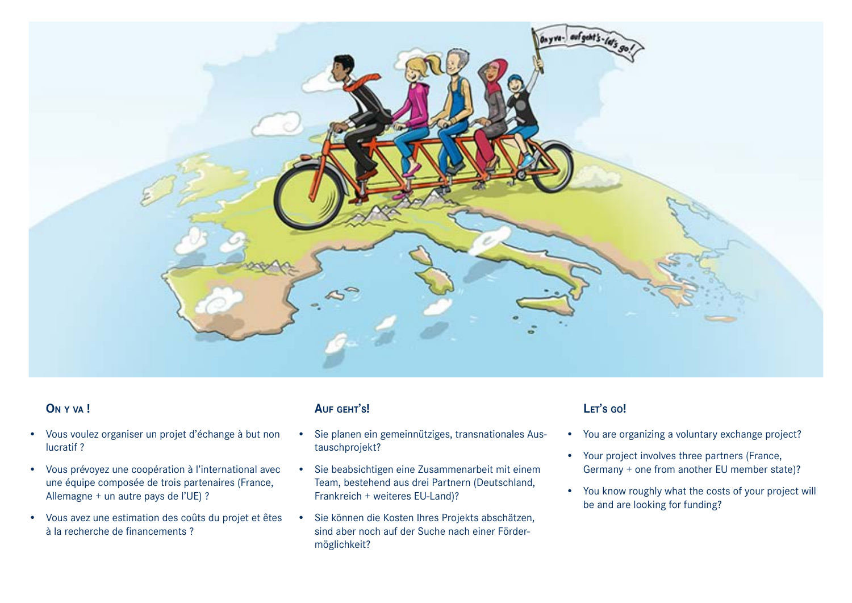

## **On y va !**

- Vous voulez organiser un projet d'échange à but non lucratif ?
- Vous prévoyez une coopération à l'international avec une équipe composée de trois partenaires (France, Allemagne + un autre pays de l'UE) ?
- Vous avez une estimation des coûts du projet et êtes à la recherche de financements ?

#### **Auf geht's!**

- Sie planen ein gemeinnütziges, transnationales Austauschprojekt?
- Sie beabsichtigen eine Zusammenarbeit mit einem Team, bestehend aus drei Partnern (Deutschland, Frankreich + weiteres EU-Land)?
- Sie können die Kosten Ihres Projekts abschätzen, sind aber noch auf der Suche nach einer Fördermöglichkeit?

# **Let's go!**

- You are organizing a voluntary exchange project?
- Your project involves three partners (France, Germany + one from another EU member state)?
- You know roughly what the costs of your project will be and are looking for funding?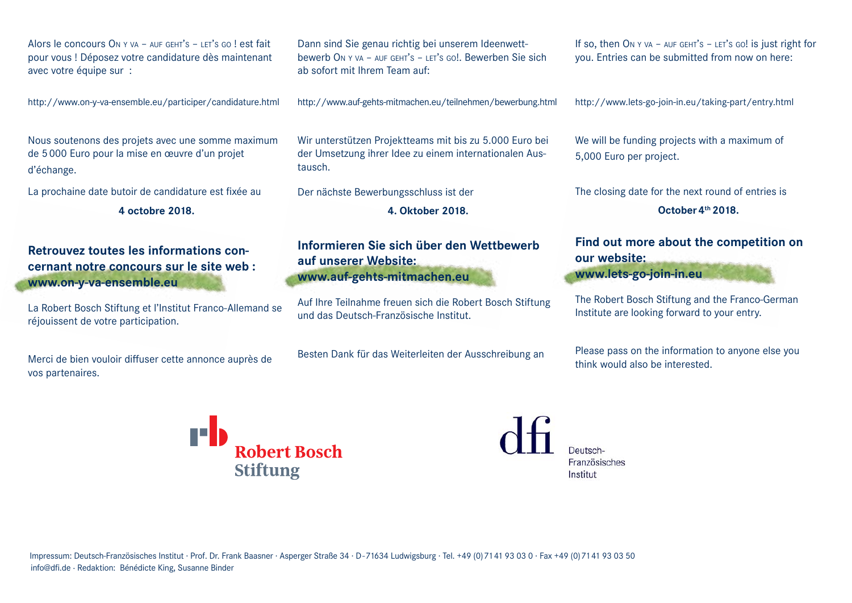Alors le concours On <sup>y</sup> va – auf geht's – let's go ! est fait pour vous ! Déposez votre candidature dès maintenant avec votre équipe sur :

http://www.on-y-va-ensemble.eu/participer/candidature.html

Nous soutenons des projets avec une somme maximum de 5000 Euro pour la mise en œuvre d'un projet d'échange.

La prochaine date butoir de candidature est fixée au

**4 octobre 2018.**

**Retrouvez toutes les informations concernant notre concours sur le site web : www.on-y-va-ensemble.eu**

La Robert Bosch Stiftung et l'Institut Franco-Allemand se réjouissent de votre participation.

Merci de bien vouloir diffuser cette annonce auprès de vos partenaires.

Dann sind Sie genau richtig bei unserem Ideenwettbewerb On <sup>y</sup> va – auf geht's – let's go!. Bewerben Sie sich ab sofort mit Ihrem Team auf:

http://www.auf-gehts-mitmachen.eu/teilnehmen/bewerbung.html

Wir unterstützen Projektteams mit bis zu 5.000 Euro bei der Umsetzung ihrer Idee zu einem internationalen Austausch.

Der nächste Bewerbungsschluss ist der

**4. Oktober 2018.**

**Informieren Sie sich über den Wettbewerb auf unserer Website: www.auf-gehts-mitmachen.eu**

Auf Ihre Teilnahme freuen sich die Robert Bosch Stiftung und das Deutsch-Französische Institut.

Besten Dank für das Weiterleiten der Ausschreibung an

If so, then ON Y VA – AUF GEHT'S – LET's GO! is just right for you. Entries can be submitted from now on here:

http://www.lets-go-join-in.eu/taking-part/entry.html

We will be funding projects with a maximum of 5,000 Euro per project.

The closing date for the next round of entries is

**October4th 2018.**

## **Find out more about the competition on our website:**

**www.lets-go-join-in.eu**

The Robert Bosch Stiftung and the Franco-German Institute are looking forward to your entry.

Please pass on the information to anyone else you think would also be interested.

**Nobert Bosch Stiftung** 

Französisches Institut